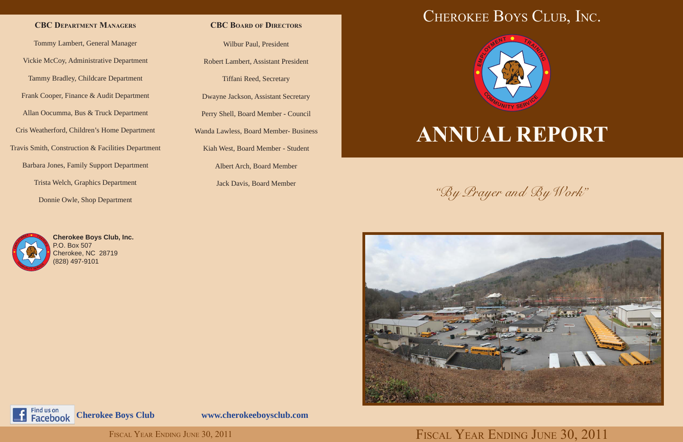

# **ANNUAL REPORT**



Find us on Facebook

"By Prayer and By Work"

## **CBC Department Managers**



**Cherokee Boys Club, Inc.** P.O. Box 507 Cherokee, NC 28719 (828) 497-9101

## **CBC Board of Directors**

Tommy Lambert, General Manager Vickie McCoy, Administrative Department Tammy Bradley, Childcare Department Frank Cooper, Finance & Audit Department Allan Oocumma, Bus & Truck Department Cris Weatherford, Children's Home Department Travis Smith, Construction & Facilities Department Barbara Jones, Family Support Department Trista Welch, Graphics Department Donnie Owle, Shop Department

Wilbur Paul, President

Robert Lambert, Assistant President

Tiffani Reed, Secretary

Dwayne Jackson, Assistant Secretary

Perry Shell, Board Member - Council

Wanda Lawless, Board Member- Business

Kiah West, Board Member - Student

Albert Arch, Board Member

Jack Davis, Board Member

**Cherokee Boys Club www.cherokeeboysclub.com**

## FISCAL YEAR ENDING JUNE 30, 2011 FISCAL YEAR ENDING JUNE 30, 2011

## CHEROKEE BOYS CLUB, INC.